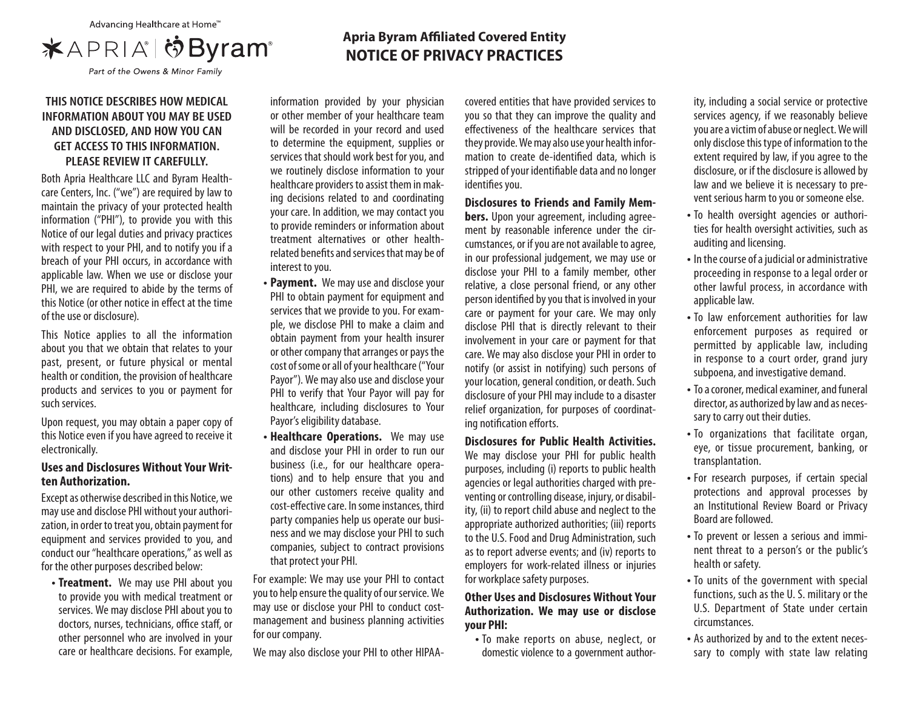

## **THIS NOTICE DESCRIBES HOW MEDICAL INFORMATION ABOUT YOU MAY BE USED AND DISCLOSED, AND HOW YOU CAN GET ACCESS TO THIS INFORMATION. PLEASE REVIEW IT CAREFULLY.**

Both Apria Healthcare LLC and Byram Healthcare Centers, Inc. ("we") are required by law to maintain the privacy of your protected health information ("PHI"), to provide you with this Notice of our legal duties and privacy practices with respect to your PHI, and to notify you if a breach of your PHI occurs, in accordance with applicable law. When we use or disclose your PHI, we are required to abide by the terms of this Notice (or other notice in effect at the time of the use or disclosure).

This Notice applies to all the information about you that we obtain that relates to your past, present, or future physical or mental health or condition, the provision of healthcare products and services to you or payment for such services.

Upon request, you may obtain a paper copy of this Notice even if you have agreed to receive it electronically.

## **Uses and Disclosures Without Your Written Authorization.**

Except as otherwise described in this Notice, we may use and disclose PHI without your authorization, in order to treat you, obtain payment for equipment and services provided to you, and conduct our "healthcare operations," as well as for the other purposes described below:

**• Treatment.** We may use PHI about you to provide you with medical treatment or services. We may disclose PHI about you to doctors, nurses, technicians, office staff, or other personnel who are involved in your care or healthcare decisions. For example, information provided by your physician or other member of your healthcare team will be recorded in your record and used to determine the equipment, supplies or services that should work best for you, and we routinely disclose information to your

healthcare providers to assist them in making decisions related to and coordinating your care. In addition, we may contact you to provide reminders or information about treatment alternatives or other healthrelated benefits and services that may be of interest to you.

- **Payment.** We may use and disclose your PHI to obtain payment for equipment and services that we provide to you. For example, we disclose PHI to make a claim and obtain payment from your health insurer or other company that arranges or pays the cost of some or all of your healthcare ("Your Payor"). We may also use and disclose your PHI to verify that Your Payor will pay for healthcare, including disclosures to Your Payor's eligibility database.
- **Healthcare Operations.** We may use and disclose your PHI in order to run our business (i.e., for our healthcare operations) and to help ensure that you and our other customers receive quality and cost-effective care. In some instances, third party companies help us operate our business and we may disclose your PHI to such companies, subject to contract provisions that protect your PHI.

For example: We may use your PHI to contact you to help ensure the quality of our service. We may use or disclose your PHI to conduct costmanagement and business planning activities for our company.

We may also disclose your PHI to other HIPAA-

covered entities that have provided services to you so that they can improve the quality and effectiveness of the healthcare services that they provide. We may also use your health information to create de-identified data, which is stripped of your identifiable data and no longer identifies you.

### **Disclosures to Friends and Family Mem-**

**bers.** Upon your agreement, including agreement by reasonable inference under the circumstances, or if you are not available to agree, in our professional judgement, we may use or disclose your PHI to a family member, other relative, a close personal friend, or any other person identified by you that is involved in your care or payment for your care. We may only disclose PHI that is directly relevant to their involvement in your care or payment for that care. We may also disclose your PHI in order to notify (or assist in notifying) such persons of your location, general condition, or death. Such disclosure of your PHI may include to a disaster relief organization, for purposes of coordinating notification efforts.

# **Disclosures for Public Health Activities.**

We may disclose your PHI for public health purposes, including (i) reports to public health agencies or legal authorities charged with preventing or controlling disease, injury, or disability, (ii) to report child abuse and neglect to the appropriate authorized authorities; (iii) reports to the U.S. Food and Drug Administration, such as to report adverse events; and (iv) reports to employers for work-related illness or injuries for workplace safety purposes.

### **Other Uses and Disclosures Without Your Authorization. We may use or disclose your PHI:**

**•** To make reports on abuse, neglect, or domestic violence to a government author-

ity, including a social service or protective services agency, if we reasonably believe you are a victim of abuse or neglect. We will only disclose this type of information to the extent required by law, if you agree to the disclosure, or if the disclosure is allowed by law and we believe it is necessary to prevent serious harm to you or someone else.

- To health oversight agencies or authorities for health oversight activities, such as auditing and licensing.
- In the course of a judicial or administrative proceeding in response to a legal order or other lawful process, in accordance with applicable law.
- To law enforcement authorities for law enforcement purposes as required or permitted by applicable law, including in response to a court order, grand jury subpoena, and investigative demand.
- To a coroner, medical examiner, and funeral director, as authorized by law and as necessary to carry out their duties.
- To organizations that facilitate organ, eye, or tissue procurement, banking, or transplantation.
- For research purposes, if certain special protections and approval processes by an Institutional Review Board or Privacy Board are followed.
- To prevent or lessen a serious and imminent threat to a person's or the public's health or safety.
- To units of the government with special functions, such as the U. S. military or the U.S. Department of State under certain circumstances.
- As authorized by and to the extent necessary to comply with state law relating

# **Apria Byram Affiliated Covered Entity NOTICE OF PRIVACY PRACTICES**